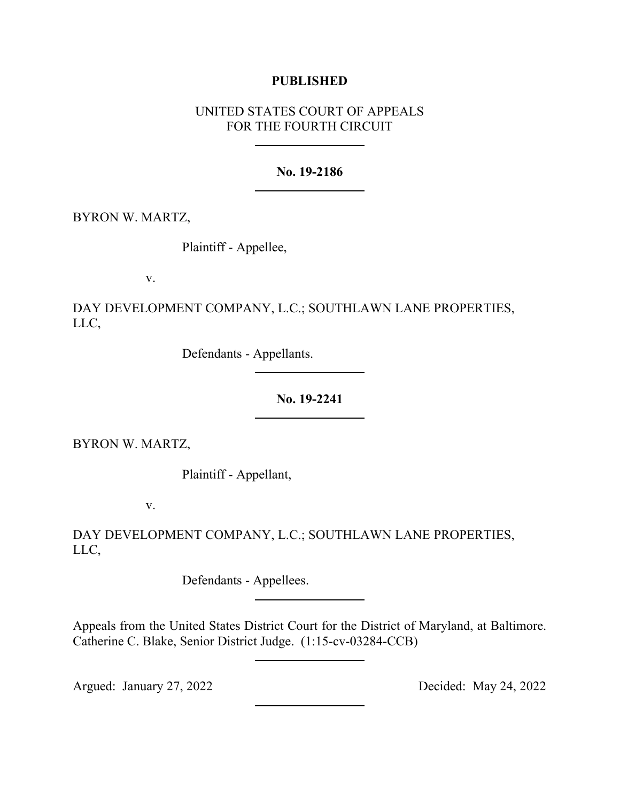## **PUBLISHED**

# UNITED STATES COURT OF APPEALS FOR THE FOURTH CIRCUIT

## **No. 19-2186**

BYRON W. MARTZ,

Plaintiff - Appellee,

v.

DAY DEVELOPMENT COMPANY, L.C.; SOUTHLAWN LANE PROPERTIES, LLC,

Defendants - Appellants.

**No. 19-2241**

BYRON W. MARTZ,

Plaintiff - Appellant,

v.

DAY DEVELOPMENT COMPANY, L.C.; SOUTHLAWN LANE PROPERTIES, LLC,

Defendants - Appellees.

Appeals from the United States District Court for the District of Maryland, at Baltimore. Catherine C. Blake, Senior District Judge. (1:15-cv-03284-CCB)

Argued: January 27, 2022 Decided: May 24, 2022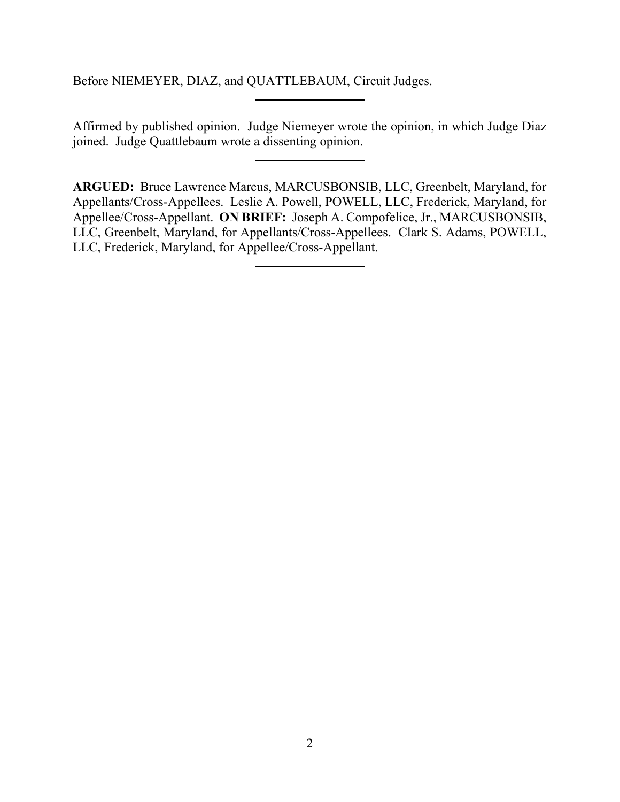Before NIEMEYER, DIAZ, and QUATTLEBAUM, Circuit Judges.

Affirmed by published opinion. Judge Niemeyer wrote the opinion, in which Judge Diaz joined. Judge Quattlebaum wrote a dissenting opinion.

**ARGUED:** Bruce Lawrence Marcus, MARCUSBONSIB, LLC, Greenbelt, Maryland, for Appellants/Cross-Appellees. Leslie A. Powell, POWELL, LLC, Frederick, Maryland, for Appellee/Cross-Appellant. **ON BRIEF:** Joseph A. Compofelice, Jr., MARCUSBONSIB, LLC, Greenbelt, Maryland, for Appellants/Cross-Appellees. Clark S. Adams, POWELL, LLC, Frederick, Maryland, for Appellee/Cross-Appellant.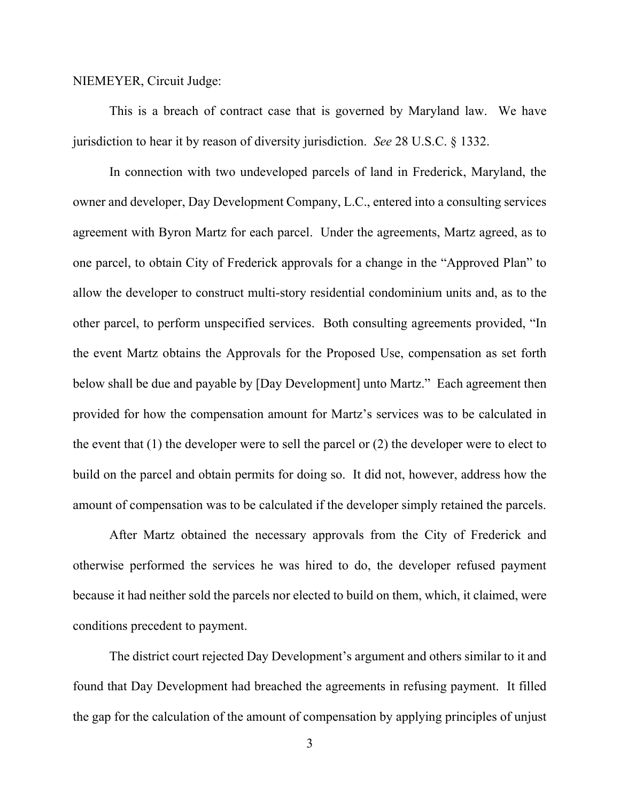#### NIEMEYER, Circuit Judge:

This is a breach of contract case that is governed by Maryland law. We have jurisdiction to hear it by reason of diversity jurisdiction. *See* 28 U.S.C. § 1332.

In connection with two undeveloped parcels of land in Frederick, Maryland, the owner and developer, Day Development Company, L.C., entered into a consulting services agreement with Byron Martz for each parcel. Under the agreements, Martz agreed, as to one parcel, to obtain City of Frederick approvals for a change in the "Approved Plan" to allow the developer to construct multi-story residential condominium units and, as to the other parcel, to perform unspecified services. Both consulting agreements provided, "In the event Martz obtains the Approvals for the Proposed Use, compensation as set forth below shall be due and payable by [Day Development] unto Martz." Each agreement then provided for how the compensation amount for Martz's services was to be calculated in the event that (1) the developer were to sell the parcel or (2) the developer were to elect to build on the parcel and obtain permits for doing so. It did not, however, address how the amount of compensation was to be calculated if the developer simply retained the parcels.

After Martz obtained the necessary approvals from the City of Frederick and otherwise performed the services he was hired to do, the developer refused payment because it had neither sold the parcels nor elected to build on them, which, it claimed, were conditions precedent to payment.

The district court rejected Day Development's argument and others similar to it and found that Day Development had breached the agreements in refusing payment. It filled the gap for the calculation of the amount of compensation by applying principles of unjust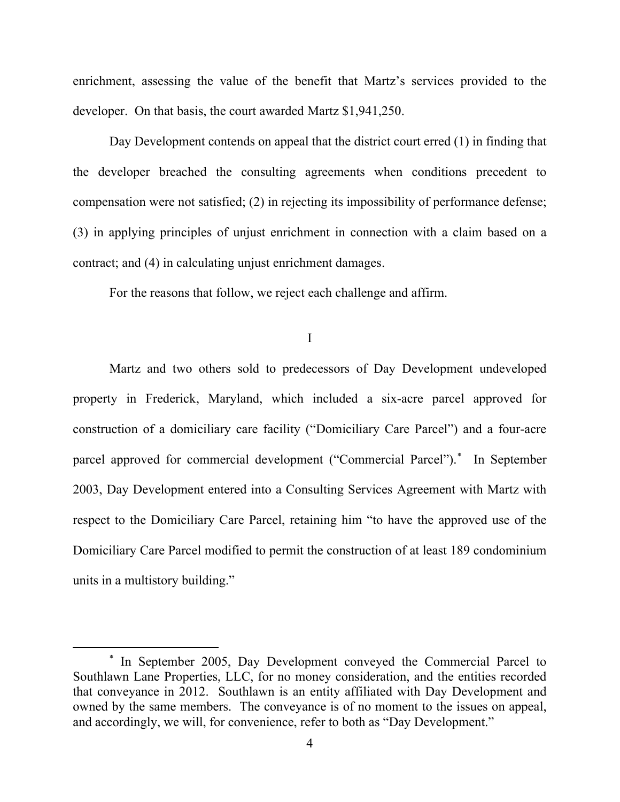enrichment, assessing the value of the benefit that Martz's services provided to the developer. On that basis, the court awarded Martz \$1,941,250.

Day Development contends on appeal that the district court erred (1) in finding that the developer breached the consulting agreements when conditions precedent to compensation were not satisfied; (2) in rejecting its impossibility of performance defense; (3) in applying principles of unjust enrichment in connection with a claim based on a contract; and (4) in calculating unjust enrichment damages.

For the reasons that follow, we reject each challenge and affirm.

I

Martz and two others sold to predecessors of Day Development undeveloped property in Frederick, Maryland, which included a six-acre parcel approved for construction of a domiciliary care facility ("Domiciliary Care Parcel") and a four-acre parcel approved for commercial development ("Commercial Parcel"). [\\*](#page-3-0) In September 2003, Day Development entered into a Consulting Services Agreement with Martz with respect to the Domiciliary Care Parcel, retaining him "to have the approved use of the Domiciliary Care Parcel modified to permit the construction of at least 189 condominium units in a multistory building."

<span id="page-3-0"></span><sup>\*</sup> In September 2005, Day Development conveyed the Commercial Parcel to Southlawn Lane Properties, LLC, for no money consideration, and the entities recorded that conveyance in 2012. Southlawn is an entity affiliated with Day Development and owned by the same members. The conveyance is of no moment to the issues on appeal, and accordingly, we will, for convenience, refer to both as "Day Development."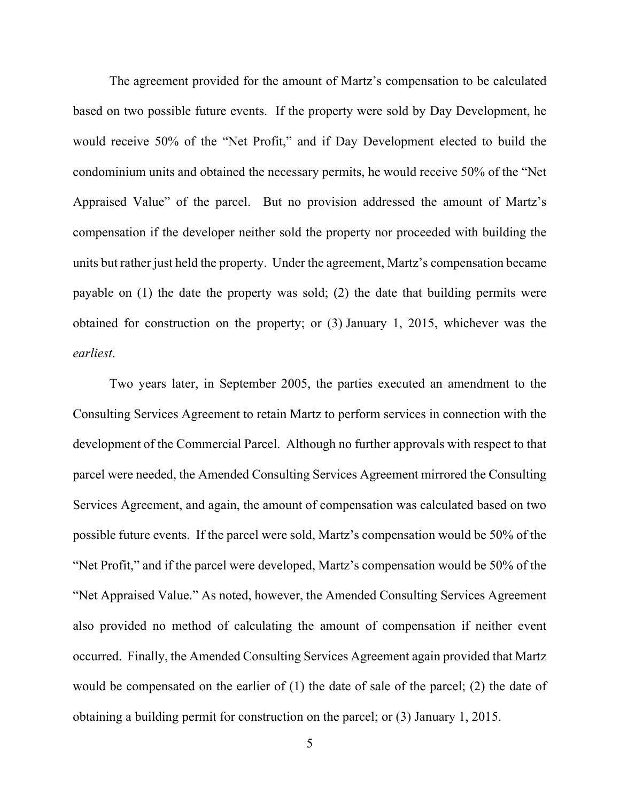The agreement provided for the amount of Martz's compensation to be calculated based on two possible future events. If the property were sold by Day Development, he would receive 50% of the "Net Profit," and if Day Development elected to build the condominium units and obtained the necessary permits, he would receive 50% of the "Net Appraised Value" of the parcel. But no provision addressed the amount of Martz's compensation if the developer neither sold the property nor proceeded with building the units but rather just held the property. Under the agreement, Martz's compensation became payable on (1) the date the property was sold; (2) the date that building permits were obtained for construction on the property; or (3) January 1, 2015, whichever was the *earliest*.

Two years later, in September 2005, the parties executed an amendment to the Consulting Services Agreement to retain Martz to perform services in connection with the development of the Commercial Parcel. Although no further approvals with respect to that parcel were needed, the Amended Consulting Services Agreement mirrored the Consulting Services Agreement, and again, the amount of compensation was calculated based on two possible future events. If the parcel were sold, Martz's compensation would be 50% of the "Net Profit," and if the parcel were developed, Martz's compensation would be 50% of the "Net Appraised Value." As noted, however, the Amended Consulting Services Agreement also provided no method of calculating the amount of compensation if neither event occurred. Finally, the Amended Consulting Services Agreement again provided that Martz would be compensated on the earlier of (1) the date of sale of the parcel; (2) the date of obtaining a building permit for construction on the parcel; or (3) January 1, 2015.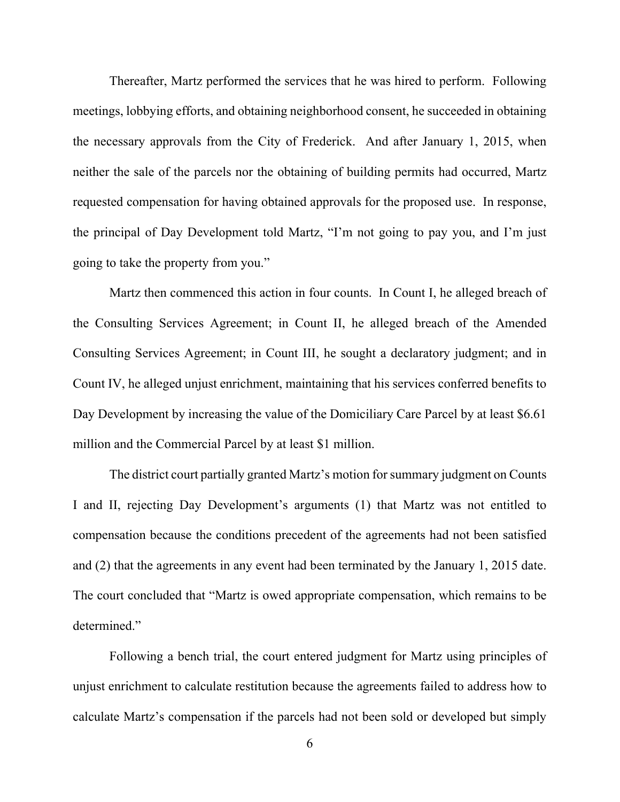Thereafter, Martz performed the services that he was hired to perform. Following meetings, lobbying efforts, and obtaining neighborhood consent, he succeeded in obtaining the necessary approvals from the City of Frederick. And after January 1, 2015, when neither the sale of the parcels nor the obtaining of building permits had occurred, Martz requested compensation for having obtained approvals for the proposed use. In response, the principal of Day Development told Martz, "I'm not going to pay you, and I'm just going to take the property from you."

Martz then commenced this action in four counts. In Count I, he alleged breach of the Consulting Services Agreement; in Count II, he alleged breach of the Amended Consulting Services Agreement; in Count III, he sought a declaratory judgment; and in Count IV, he alleged unjust enrichment, maintaining that his services conferred benefits to Day Development by increasing the value of the Domiciliary Care Parcel by at least \$6.61 million and the Commercial Parcel by at least \$1 million.

The district court partially granted Martz's motion for summary judgment on Counts I and II, rejecting Day Development's arguments (1) that Martz was not entitled to compensation because the conditions precedent of the agreements had not been satisfied and (2) that the agreements in any event had been terminated by the January 1, 2015 date. The court concluded that "Martz is owed appropriate compensation, which remains to be determined."

Following a bench trial, the court entered judgment for Martz using principles of unjust enrichment to calculate restitution because the agreements failed to address how to calculate Martz's compensation if the parcels had not been sold or developed but simply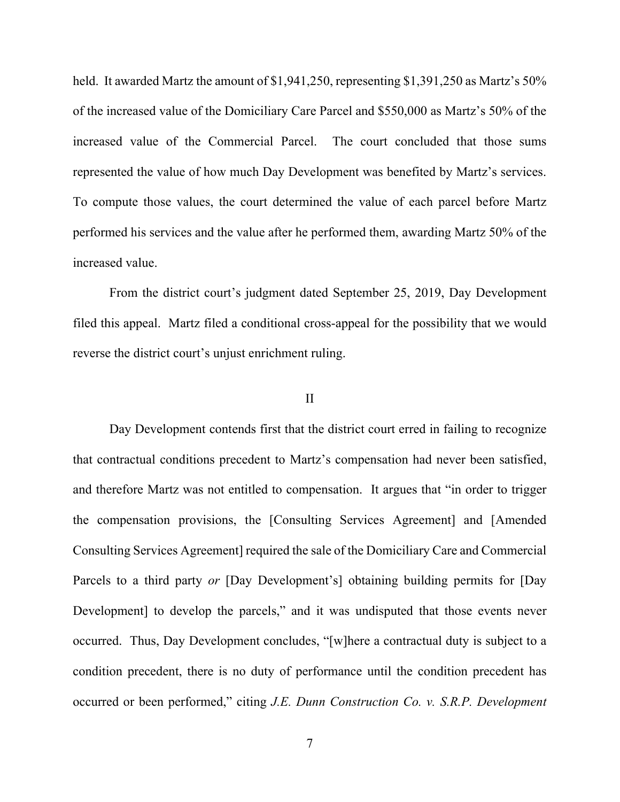held. It awarded Martz the amount of \$1,941,250, representing \$1,391,250 as Martz's 50% of the increased value of the Domiciliary Care Parcel and \$550,000 as Martz's 50% of the increased value of the Commercial Parcel. The court concluded that those sums represented the value of how much Day Development was benefited by Martz's services. To compute those values, the court determined the value of each parcel before Martz performed his services and the value after he performed them, awarding Martz 50% of the increased value.

From the district court's judgment dated September 25, 2019, Day Development filed this appeal. Martz filed a conditional cross-appeal for the possibility that we would reverse the district court's unjust enrichment ruling.

#### II

Day Development contends first that the district court erred in failing to recognize that contractual conditions precedent to Martz's compensation had never been satisfied, and therefore Martz was not entitled to compensation. It argues that "in order to trigger the compensation provisions, the [Consulting Services Agreement] and [Amended Consulting Services Agreement] required the sale of the Domiciliary Care and Commercial Parcels to a third party *or* [Day Development's] obtaining building permits for [Day Development] to develop the parcels," and it was undisputed that those events never occurred. Thus, Day Development concludes, "[w]here a contractual duty is subject to a condition precedent, there is no duty of performance until the condition precedent has occurred or been performed," citing *J.E. Dunn Construction Co. v. S.R.P. Development*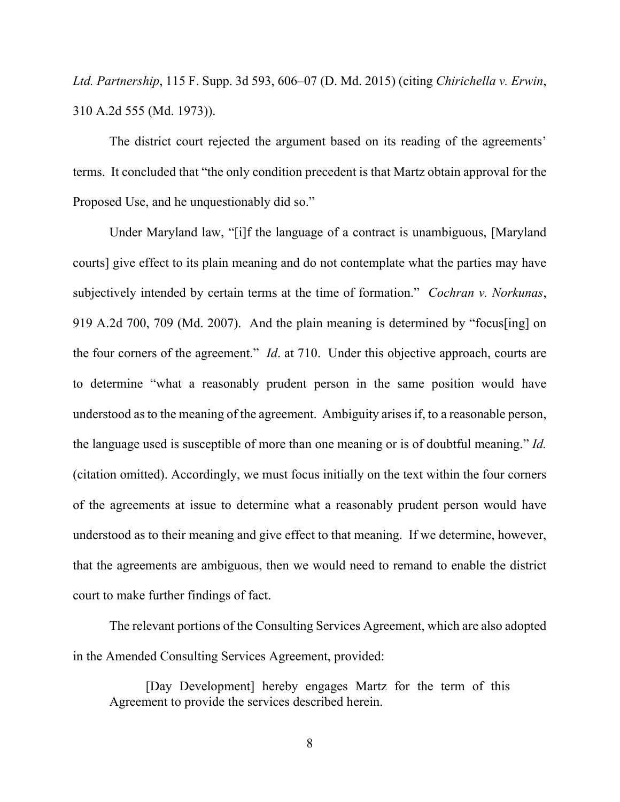*Ltd. Partnership*, 115 F. Supp. 3d 593, 606–07 (D. Md. 2015) (citing *Chirichella v. Erwin*, 310 A.2d 555 (Md. 1973)).

The district court rejected the argument based on its reading of the agreements' terms. It concluded that "the only condition precedent is that Martz obtain approval for the Proposed Use, and he unquestionably did so."

Under Maryland law, "[i]f the language of a contract is unambiguous, [Maryland courts] give effect to its plain meaning and do not contemplate what the parties may have subjectively intended by certain terms at the time of formation." *Cochran v. Norkunas*, 919 A.2d 700, 709 (Md. 2007). And the plain meaning is determined by "focus[ing] on the four corners of the agreement." *Id*. at 710. Under this objective approach, courts are to determine "what a reasonably prudent person in the same position would have understood as to the meaning of the agreement. Ambiguity arises if, to a reasonable person, the language used is susceptible of more than one meaning or is of doubtful meaning." *Id.*  (citation omitted). Accordingly, we must focus initially on the text within the four corners of the agreements at issue to determine what a reasonably prudent person would have understood as to their meaning and give effect to that meaning. If we determine, however, that the agreements are ambiguous, then we would need to remand to enable the district court to make further findings of fact.

The relevant portions of the Consulting Services Agreement, which are also adopted in the Amended Consulting Services Agreement, provided:

[Day Development] hereby engages Martz for the term of this Agreement to provide the services described herein.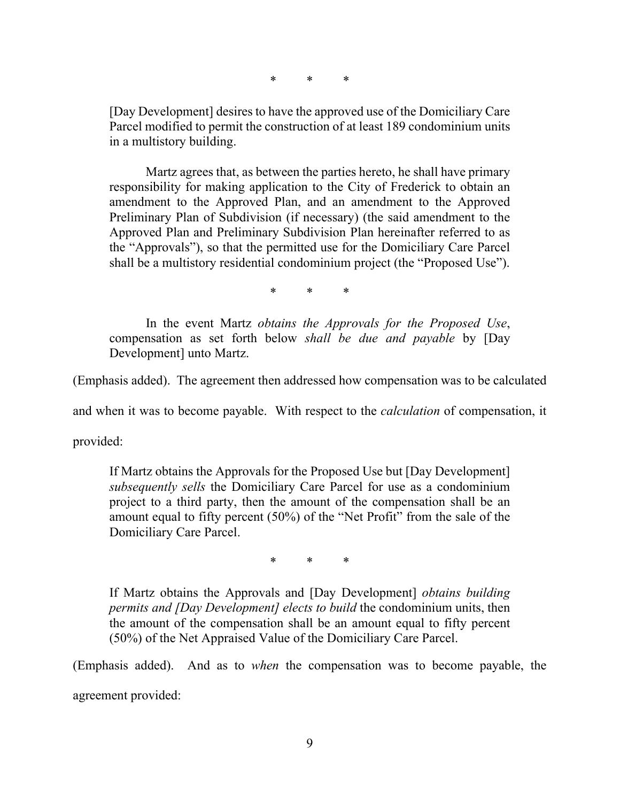\* \* \*

[Day Development] desires to have the approved use of the Domiciliary Care Parcel modified to permit the construction of at least 189 condominium units in a multistory building.

Martz agrees that, as between the parties hereto, he shall have primary responsibility for making application to the City of Frederick to obtain an amendment to the Approved Plan, and an amendment to the Approved Preliminary Plan of Subdivision (if necessary) (the said amendment to the Approved Plan and Preliminary Subdivision Plan hereinafter referred to as the "Approvals"), so that the permitted use for the Domiciliary Care Parcel shall be a multistory residential condominium project (the "Proposed Use").

\* \* \*

In the event Martz *obtains the Approvals for the Proposed Use*, compensation as set forth below *shall be due and payable* by [Day Development] unto Martz.

(Emphasis added). The agreement then addressed how compensation was to be calculated

and when it was to become payable. With respect to the *calculation* of compensation, it

provided:

If Martz obtains the Approvals for the Proposed Use but [Day Development] *subsequently sells* the Domiciliary Care Parcel for use as a condominium project to a third party, then the amount of the compensation shall be an amount equal to fifty percent (50%) of the "Net Profit" from the sale of the Domiciliary Care Parcel.

\* \* \*

If Martz obtains the Approvals and [Day Development] *obtains building permits and [Day Development] elects to build* the condominium units, then the amount of the compensation shall be an amount equal to fifty percent (50%) of the Net Appraised Value of the Domiciliary Care Parcel.

(Emphasis added). And as to *when* the compensation was to become payable, the agreement provided: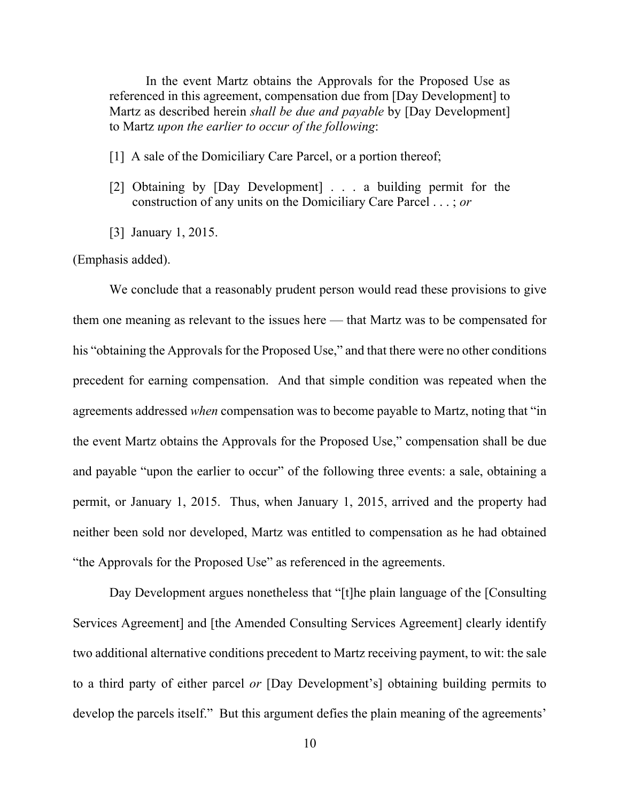In the event Martz obtains the Approvals for the Proposed Use as referenced in this agreement, compensation due from [Day Development] to Martz as described herein *shall be due and payable* by [Day Development] to Martz *upon the earlier to occur of the following*:

- [1] A sale of the Domiciliary Care Parcel, or a portion thereof;
- [2] Obtaining by [Day Development] . . . a building permit for the construction of any units on the Domiciliary Care Parcel . . . ; *or*
- [3] January 1, 2015.

#### (Emphasis added).

We conclude that a reasonably prudent person would read these provisions to give them one meaning as relevant to the issues here — that Martz was to be compensated for his "obtaining the Approvals for the Proposed Use," and that there were no other conditions precedent for earning compensation. And that simple condition was repeated when the agreements addressed *when* compensation was to become payable to Martz, noting that "in the event Martz obtains the Approvals for the Proposed Use," compensation shall be due and payable "upon the earlier to occur" of the following three events: a sale, obtaining a permit, or January 1, 2015. Thus, when January 1, 2015, arrived and the property had neither been sold nor developed, Martz was entitled to compensation as he had obtained "the Approvals for the Proposed Use" as referenced in the agreements.

Day Development argues nonetheless that "[t]he plain language of the [Consulting Services Agreement] and [the Amended Consulting Services Agreement] clearly identify two additional alternative conditions precedent to Martz receiving payment, to wit: the sale to a third party of either parcel *or* [Day Development's] obtaining building permits to develop the parcels itself." But this argument defies the plain meaning of the agreements'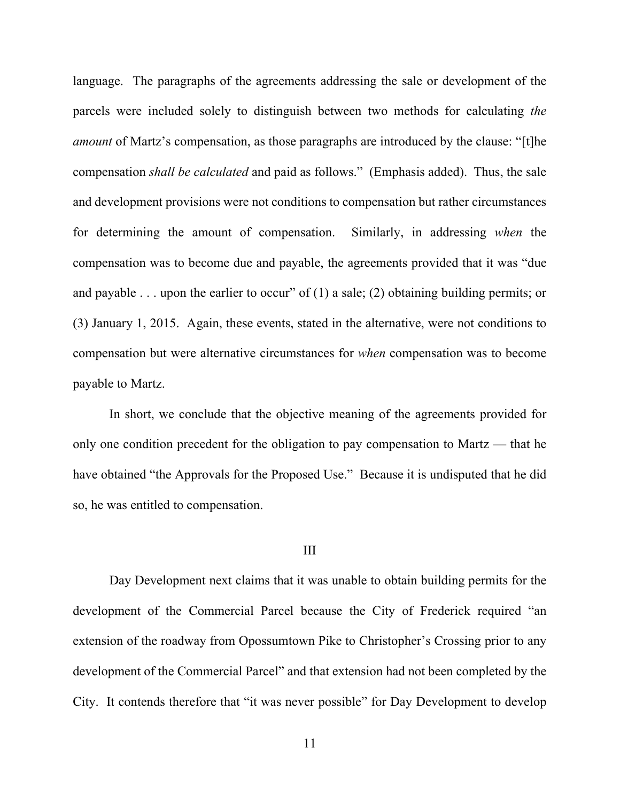language. The paragraphs of the agreements addressing the sale or development of the parcels were included solely to distinguish between two methods for calculating *the amount* of Martz's compensation, as those paragraphs are introduced by the clause: "[t]he compensation *shall be calculated* and paid as follows." (Emphasis added). Thus, the sale and development provisions were not conditions to compensation but rather circumstances for determining the amount of compensation. Similarly, in addressing *when* the compensation was to become due and payable, the agreements provided that it was "due and payable . . . upon the earlier to occur" of  $(1)$  a sale;  $(2)$  obtaining building permits; or (3) January 1, 2015. Again, these events, stated in the alternative, were not conditions to compensation but were alternative circumstances for *when* compensation was to become payable to Martz.

In short, we conclude that the objective meaning of the agreements provided for only one condition precedent for the obligation to pay compensation to Martz — that he have obtained "the Approvals for the Proposed Use." Because it is undisputed that he did so, he was entitled to compensation.

#### III

Day Development next claims that it was unable to obtain building permits for the development of the Commercial Parcel because the City of Frederick required "an extension of the roadway from Opossumtown Pike to Christopher's Crossing prior to any development of the Commercial Parcel" and that extension had not been completed by the City. It contends therefore that "it was never possible" for Day Development to develop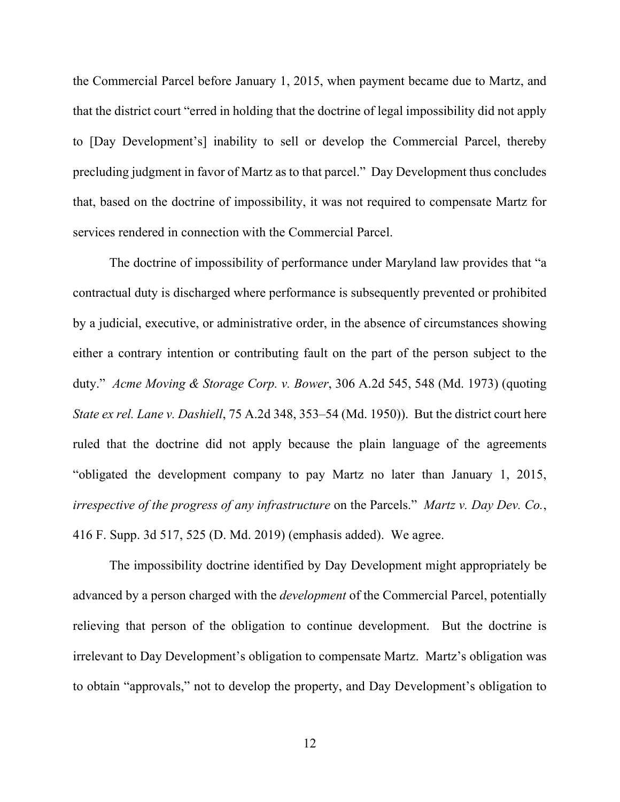the Commercial Parcel before January 1, 2015, when payment became due to Martz, and that the district court "erred in holding that the doctrine of legal impossibility did not apply to [Day Development's] inability to sell or develop the Commercial Parcel, thereby precluding judgment in favor of Martz as to that parcel." Day Development thus concludes that, based on the doctrine of impossibility, it was not required to compensate Martz for services rendered in connection with the Commercial Parcel.

The doctrine of impossibility of performance under Maryland law provides that "a contractual duty is discharged where performance is subsequently prevented or prohibited by a judicial, executive, or administrative order, in the absence of circumstances showing either a contrary intention or contributing fault on the part of the person subject to the duty." *Acme Moving & Storage Corp. v. Bower*, 306 A.2d 545, 548 (Md. 1973) (quoting *State ex rel. Lane v. Dashiell*, 75 A.2d 348, 353–54 (Md. 1950)). But the district court here ruled that the doctrine did not apply because the plain language of the agreements "obligated the development company to pay Martz no later than January 1, 2015, *irrespective of the progress of any infrastructure* on the Parcels." *Martz v. Day Dev. Co.*, 416 F. Supp. 3d 517, 525 (D. Md. 2019) (emphasis added). We agree.

The impossibility doctrine identified by Day Development might appropriately be advanced by a person charged with the *development* of the Commercial Parcel, potentially relieving that person of the obligation to continue development. But the doctrine is irrelevant to Day Development's obligation to compensate Martz. Martz's obligation was to obtain "approvals," not to develop the property, and Day Development's obligation to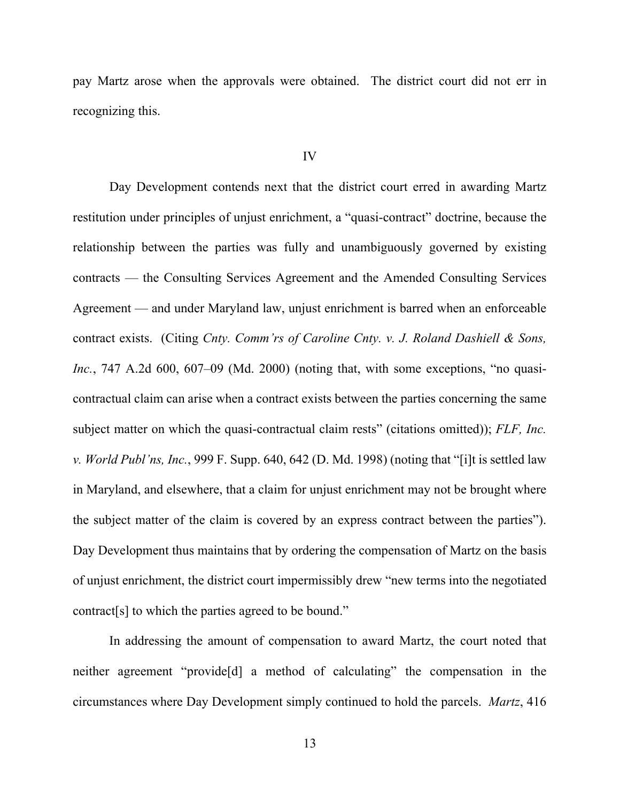pay Martz arose when the approvals were obtained. The district court did not err in recognizing this.

#### IV

Day Development contends next that the district court erred in awarding Martz restitution under principles of unjust enrichment, a "quasi-contract" doctrine, because the relationship between the parties was fully and unambiguously governed by existing contracts — the Consulting Services Agreement and the Amended Consulting Services Agreement — and under Maryland law, unjust enrichment is barred when an enforceable contract exists. (Citing *Cnty. Comm'rs of Caroline Cnty. v. J. Roland Dashiell & Sons, Inc.*, 747 A.2d 600, 607–09 (Md. 2000) (noting that, with some exceptions, "no quasicontractual claim can arise when a contract exists between the parties concerning the same subject matter on which the quasi-contractual claim rests" (citations omitted)); *FLF, Inc. v. World Publ'ns, Inc.*, 999 F. Supp. 640, 642 (D. Md. 1998) (noting that "[i]t is settled law in Maryland, and elsewhere, that a claim for unjust enrichment may not be brought where the subject matter of the claim is covered by an express contract between the parties"). Day Development thus maintains that by ordering the compensation of Martz on the basis of unjust enrichment, the district court impermissibly drew "new terms into the negotiated contract[s] to which the parties agreed to be bound."

In addressing the amount of compensation to award Martz, the court noted that neither agreement "provide[d] a method of calculating" the compensation in the circumstances where Day Development simply continued to hold the parcels. *Martz*, 416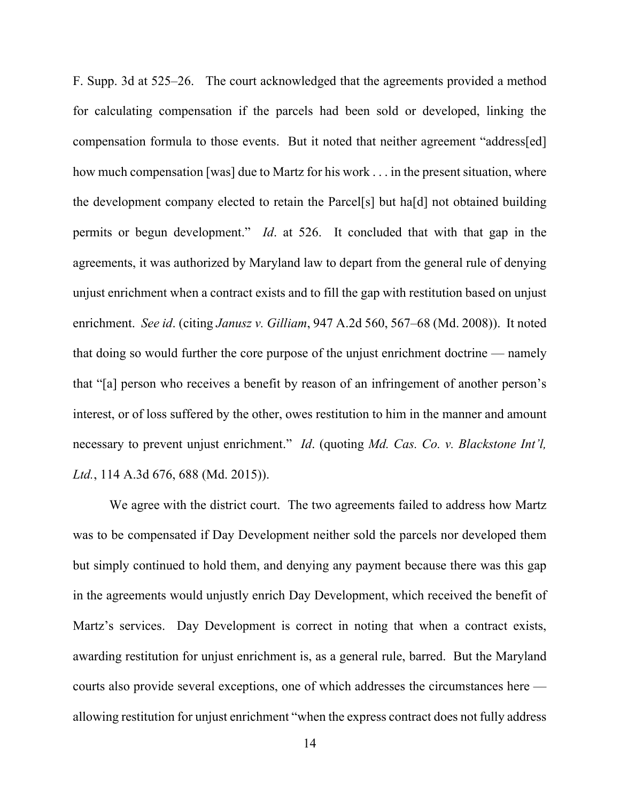F. Supp. 3d at 525–26. The court acknowledged that the agreements provided a method for calculating compensation if the parcels had been sold or developed, linking the compensation formula to those events. But it noted that neither agreement "address[ed] how much compensation [was] due to Martz for his work . . . in the present situation, where the development company elected to retain the Parcel[s] but ha[d] not obtained building permits or begun development." *Id*. at 526. It concluded that with that gap in the agreements, it was authorized by Maryland law to depart from the general rule of denying unjust enrichment when a contract exists and to fill the gap with restitution based on unjust enrichment. *See id*. (citing *Janusz v. Gilliam*, 947 A.2d 560, 567–68 (Md. 2008)). It noted that doing so would further the core purpose of the unjust enrichment doctrine — namely that "[a] person who receives a benefit by reason of an infringement of another person's interest, or of loss suffered by the other, owes restitution to him in the manner and amount necessary to prevent unjust enrichment." *Id*. (quoting *Md. Cas. Co. v. Blackstone Int'l, Ltd.*, 114 A.3d 676, 688 (Md. 2015)).

We agree with the district court. The two agreements failed to address how Martz was to be compensated if Day Development neither sold the parcels nor developed them but simply continued to hold them, and denying any payment because there was this gap in the agreements would unjustly enrich Day Development, which received the benefit of Martz's services. Day Development is correct in noting that when a contract exists, awarding restitution for unjust enrichment is, as a general rule, barred. But the Maryland courts also provide several exceptions, one of which addresses the circumstances here allowing restitution for unjust enrichment "when the express contract does not fully address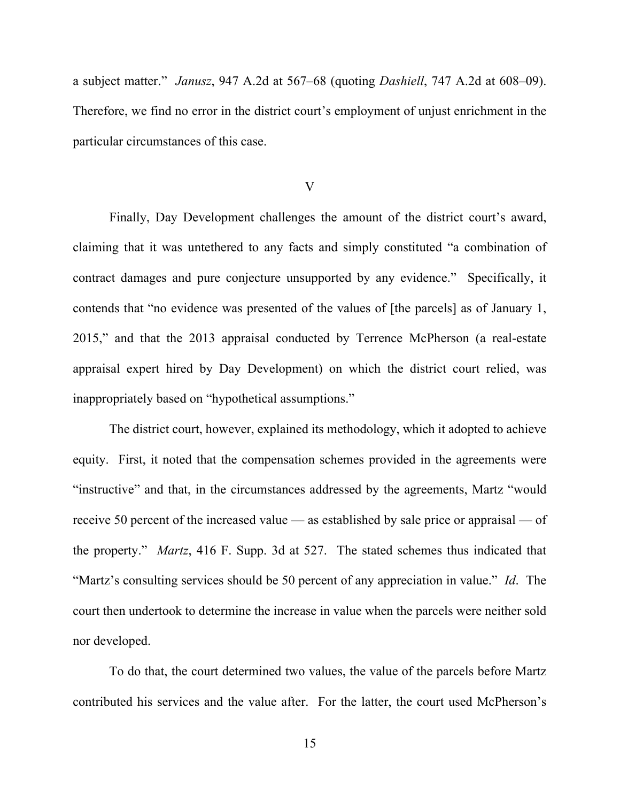a subject matter." *Janusz*, 947 A.2d at 567–68 (quoting *Dashiell*, 747 A.2d at 608–09). Therefore, we find no error in the district court's employment of unjust enrichment in the particular circumstances of this case.

#### V

Finally, Day Development challenges the amount of the district court's award, claiming that it was untethered to any facts and simply constituted "a combination of contract damages and pure conjecture unsupported by any evidence." Specifically, it contends that "no evidence was presented of the values of [the parcels] as of January 1, 2015," and that the 2013 appraisal conducted by Terrence McPherson (a real-estate appraisal expert hired by Day Development) on which the district court relied, was inappropriately based on "hypothetical assumptions."

The district court, however, explained its methodology, which it adopted to achieve equity. First, it noted that the compensation schemes provided in the agreements were "instructive" and that, in the circumstances addressed by the agreements, Martz "would receive 50 percent of the increased value — as established by sale price or appraisal — of the property." *Martz*, 416 F. Supp. 3d at 527. The stated schemes thus indicated that "Martz's consulting services should be 50 percent of any appreciation in value." *Id*. The court then undertook to determine the increase in value when the parcels were neither sold nor developed.

To do that, the court determined two values, the value of the parcels before Martz contributed his services and the value after. For the latter, the court used McPherson's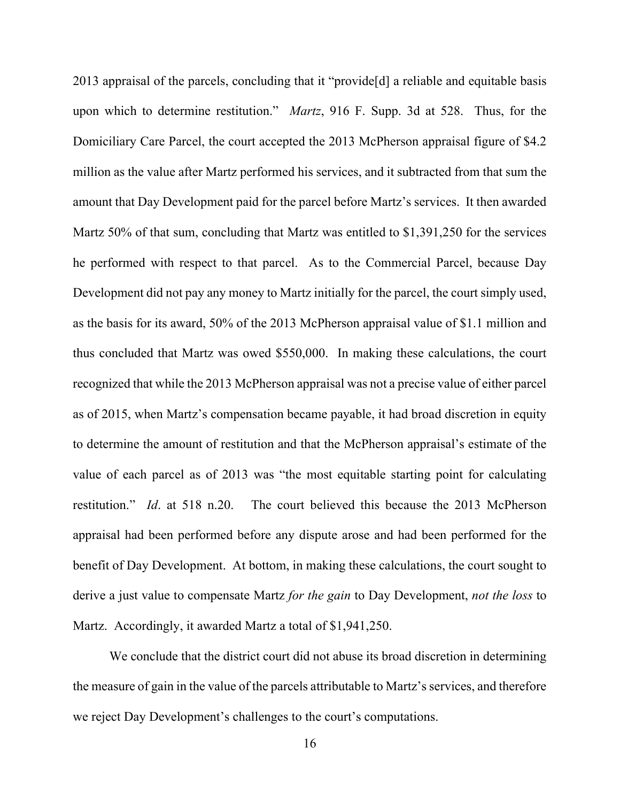2013 appraisal of the parcels, concluding that it "provide[d] a reliable and equitable basis upon which to determine restitution." *Martz*, 916 F. Supp. 3d at 528. Thus, for the Domiciliary Care Parcel, the court accepted the 2013 McPherson appraisal figure of \$4.2 million as the value after Martz performed his services, and it subtracted from that sum the amount that Day Development paid for the parcel before Martz's services. It then awarded Martz 50% of that sum, concluding that Martz was entitled to \$1,391,250 for the services he performed with respect to that parcel. As to the Commercial Parcel, because Day Development did not pay any money to Martz initially for the parcel, the court simply used, as the basis for its award, 50% of the 2013 McPherson appraisal value of \$1.1 million and thus concluded that Martz was owed \$550,000. In making these calculations, the court recognized that while the 2013 McPherson appraisal was not a precise value of either parcel as of 2015, when Martz's compensation became payable, it had broad discretion in equity to determine the amount of restitution and that the McPherson appraisal's estimate of the value of each parcel as of 2013 was "the most equitable starting point for calculating restitution." *Id*. at 518 n.20. The court believed this because the 2013 McPherson appraisal had been performed before any dispute arose and had been performed for the benefit of Day Development. At bottom, in making these calculations, the court sought to derive a just value to compensate Martz *for the gain* to Day Development, *not the loss* to Martz. Accordingly, it awarded Martz a total of \$1,941,250.

We conclude that the district court did not abuse its broad discretion in determining the measure of gain in the value of the parcels attributable to Martz's services, and therefore we reject Day Development's challenges to the court's computations.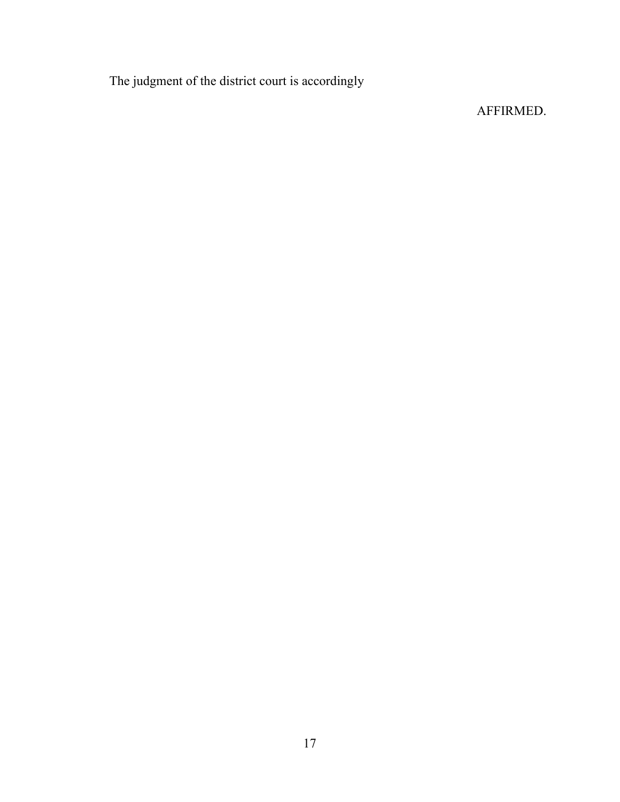The judgment of the district court is accordingly

# AFFIRMED.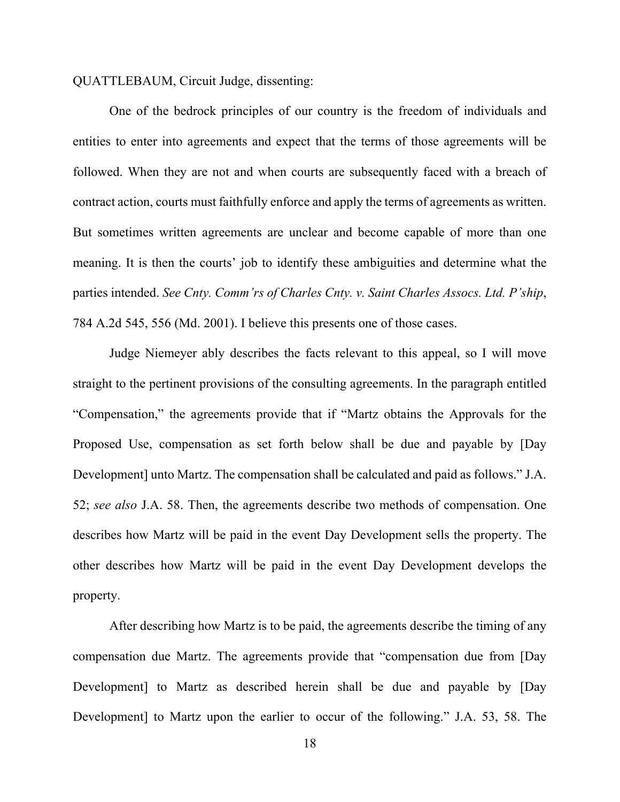QUATTLEBAUM, Circuit Judge, dissenting:

One of the bedrock principles of our country is the freedom of individuals and entities to enter into agreements and expect that the terms of those agreements will be followed. When they are not and when courts are subsequently faced with a breach of contract action, courts must faithfully enforce and apply the terms of agreements as written. But sometimes written agreements are unclear and become capable of more than one meaning. It is then the courts' job to identify these ambiguities and determine what the parties intended. *See Cnty. Comm'rs of Charles Cnty. v. Saint Charles Assocs. Ltd. P'ship*, 784 A.2d 545, 556 (Md. 2001). I believe this presents one of those cases.

Judge Niemeyer ably describes the facts relevant to this appeal, so I will move straight to the pertinent provisions of the consulting agreements. In the paragraph entitled "Compensation," the agreements provide that if "Martz obtains the Approvals for the Proposed Use, compensation as set forth below shall be due and payable by [Day Development] unto Martz. The compensation shall be calculated and paid as follows." J.A. 52; *see also* J.A. 58. Then, the agreements describe two methods of compensation. One describes how Martz will be paid in the event Day Development sells the property. The other describes how Martz will be paid in the event Day Development develops the property.

After describing how Martz is to be paid, the agreements describe the timing of any compensation due Martz. The agreements provide that "compensation due from [Day Development] to Martz as described herein shall be due and payable by [Day Development] to Martz upon the earlier to occur of the following." J.A. 53, 58. The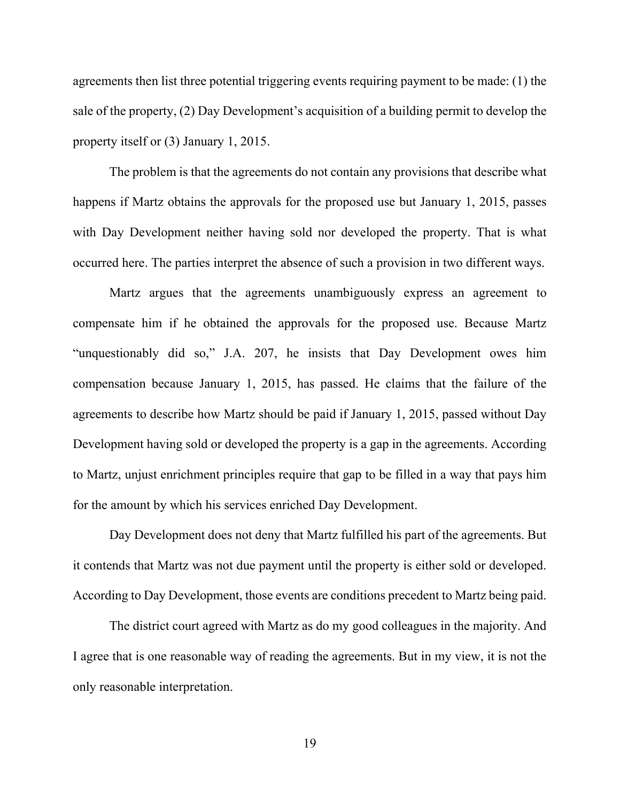agreements then list three potential triggering events requiring payment to be made: (1) the sale of the property, (2) Day Development's acquisition of a building permit to develop the property itself or (3) January 1, 2015.

The problem is that the agreements do not contain any provisions that describe what happens if Martz obtains the approvals for the proposed use but January 1, 2015, passes with Day Development neither having sold nor developed the property. That is what occurred here. The parties interpret the absence of such a provision in two different ways.

Martz argues that the agreements unambiguously express an agreement to compensate him if he obtained the approvals for the proposed use. Because Martz "unquestionably did so," J.A. 207, he insists that Day Development owes him compensation because January 1, 2015, has passed. He claims that the failure of the agreements to describe how Martz should be paid if January 1, 2015, passed without Day Development having sold or developed the property is a gap in the agreements. According to Martz, unjust enrichment principles require that gap to be filled in a way that pays him for the amount by which his services enriched Day Development.

Day Development does not deny that Martz fulfilled his part of the agreements. But it contends that Martz was not due payment until the property is either sold or developed. According to Day Development, those events are conditions precedent to Martz being paid.

The district court agreed with Martz as do my good colleagues in the majority. And I agree that is one reasonable way of reading the agreements. But in my view, it is not the only reasonable interpretation.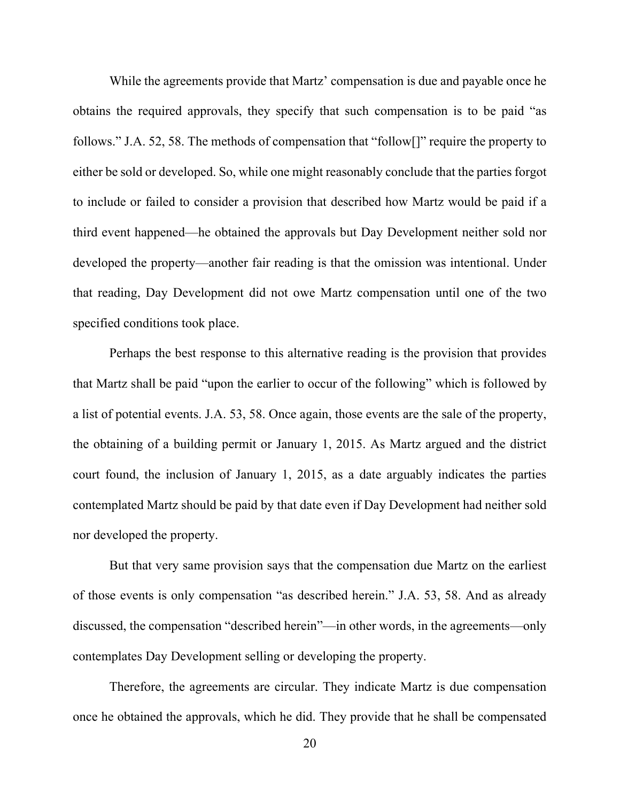While the agreements provide that Martz' compensation is due and payable once he obtains the required approvals, they specify that such compensation is to be paid "as follows." J.A. 52, 58. The methods of compensation that "follow[]" require the property to either be sold or developed. So, while one might reasonably conclude that the parties forgot to include or failed to consider a provision that described how Martz would be paid if a third event happened—he obtained the approvals but Day Development neither sold nor developed the property—another fair reading is that the omission was intentional. Under that reading, Day Development did not owe Martz compensation until one of the two specified conditions took place.

Perhaps the best response to this alternative reading is the provision that provides that Martz shall be paid "upon the earlier to occur of the following" which is followed by a list of potential events. J.A. 53, 58. Once again, those events are the sale of the property, the obtaining of a building permit or January 1, 2015. As Martz argued and the district court found, the inclusion of January 1, 2015, as a date arguably indicates the parties contemplated Martz should be paid by that date even if Day Development had neither sold nor developed the property.

But that very same provision says that the compensation due Martz on the earliest of those events is only compensation "as described herein." J.A. 53, 58. And as already discussed, the compensation "described herein"—in other words, in the agreements—only contemplates Day Development selling or developing the property.

Therefore, the agreements are circular. They indicate Martz is due compensation once he obtained the approvals, which he did. They provide that he shall be compensated